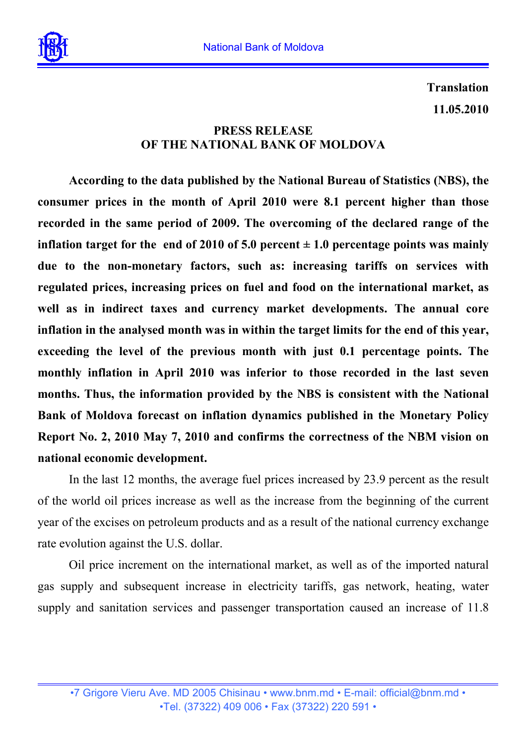

**Translation 11.05.2010** 

## **PRESS RELEASE OF THE NATIONAL BANK OF MOLDOVA**

**According to the data published by the National Bureau of Statistics (NBS), the consumer prices in the month of April 2010 were 8.1 percent higher than those recorded in the same period of 2009. The overcoming of the declared range of the inflation target for the end of 2010 of 5.0 percent**  $\pm$  **1.0 percentage points was mainly due to the non-monetary factors, such as: increasing tariffs on services with regulated prices, increasing prices on fuel and food on the international market, as well as in indirect taxes and currency market developments. The annual core inflation in the analysed month was in within the target limits for the end of this year, exceeding the level of the previous month with just 0.1 percentage points. The monthly inflation in April 2010 was inferior to those recorded in the last seven months. Thus, the information provided by the NBS is consistent with the National Bank of Moldova forecast on inflation dynamics published in the Monetary Policy Report No. 2, 2010 May 7, 2010 and confirms the correctness of the NBM vision on national economic development.** 

In the last 12 months, the average fuel prices increased by 23.9 percent as the result of the world oil prices increase as well as the increase from the beginning of the current year of the excises on petroleum products and as a result of the national currency exchange rate evolution against the U.S. dollar.

Oil price increment on the international market, as well as of the imported natural gas supply and subsequent increase in electricity tariffs, gas network, heating, water supply and sanitation services and passenger transportation caused an increase of 11.8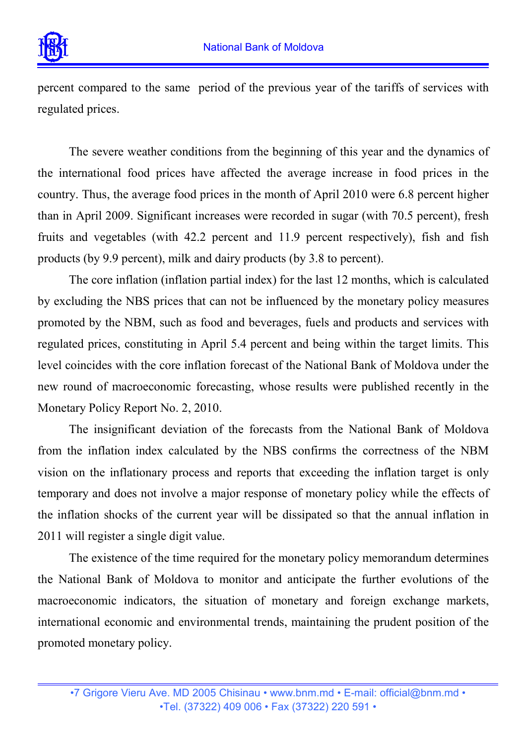

percent compared to the same period of the previous year of the tariffs of services with regulated prices.

The severe weather conditions from the beginning of this year and the dynamics of the international food prices have affected the average increase in food prices in the country. Thus, the average food prices in the month of April 2010 were 6.8 percent higher than in April 2009. Significant increases were recorded in sugar (with 70.5 percent), fresh fruits and vegetables (with 42.2 percent and 11.9 percent respectively), fish and fish products (by 9.9 percent), milk and dairy products (by 3.8 to percent).

The core inflation (inflation partial index) for the last 12 months, which is calculated by excluding the NBS prices that can not be influenced by the monetary policy measures promoted by the NBM, such as food and beverages, fuels and products and services with regulated prices, constituting in April 5.4 percent and being within the target limits. This level coincides with the core inflation forecast of the National Bank of Moldova under the new round of macroeconomic forecasting, whose results were published recently in the Monetary Policy Report No. 2, 2010.

The insignificant deviation of the forecasts from the National Bank of Moldova from the inflation index calculated by the NBS confirms the correctness of the NBM vision on the inflationary process and reports that exceeding the inflation target is only temporary and does not involve a major response of monetary policy while the effects of the inflation shocks of the current year will be dissipated so that the annual inflation in 2011 will register a single digit value.

The existence of the time required for the monetary policy memorandum determines the National Bank of Moldova to monitor and anticipate the further evolutions of the macroeconomic indicators, the situation of monetary and foreign exchange markets, international economic and environmental trends, maintaining the prudent position of the promoted monetary policy.